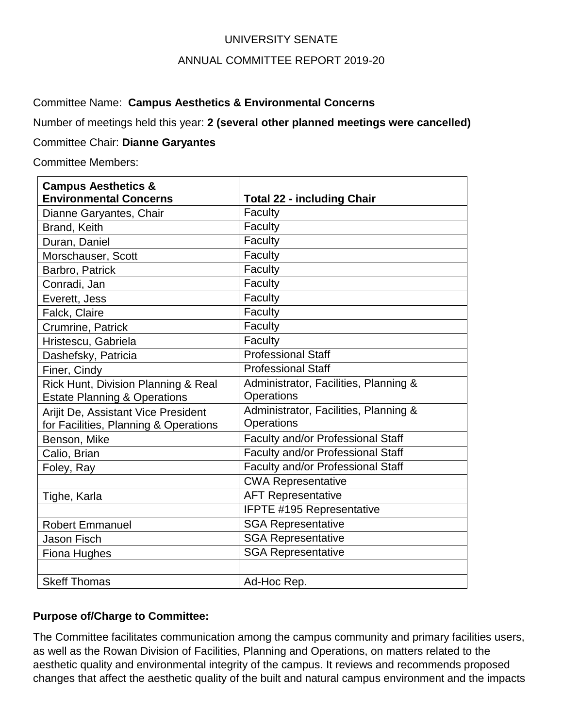## UNIVERSITY SENATE

### ANNUAL COMMITTEE REPORT 2019-20

Committee Name: **Campus Aesthetics & Environmental Concerns**

Number of meetings held this year: **2 (several other planned meetings were cancelled)**

### Committee Chair: **Dianne Garyantes**

Committee Members:

| <b>Campus Aesthetics &amp;</b>          |                                       |
|-----------------------------------------|---------------------------------------|
| <b>Environmental Concerns</b>           | <b>Total 22 - including Chair</b>     |
| Dianne Garyantes, Chair                 | Faculty                               |
| Brand, Keith                            | Faculty                               |
| Duran, Daniel                           | Faculty                               |
| Morschauser, Scott                      | Faculty                               |
| Barbro, Patrick                         | Faculty                               |
| Conradi, Jan                            | Faculty                               |
| Everett, Jess                           | Faculty                               |
| Falck, Claire                           | Faculty                               |
| Crumrine, Patrick                       | Faculty                               |
| Hristescu, Gabriela                     | Faculty                               |
| Dashefsky, Patricia                     | <b>Professional Staff</b>             |
| Finer, Cindy                            | <b>Professional Staff</b>             |
| Rick Hunt, Division Planning & Real     | Administrator, Facilities, Planning & |
| <b>Estate Planning &amp; Operations</b> | Operations                            |
| Arijit De, Assistant Vice President     | Administrator, Facilities, Planning & |
| for Facilities, Planning & Operations   | Operations                            |
| Benson, Mike                            | Faculty and/or Professional Staff     |
| Calio, Brian                            | Faculty and/or Professional Staff     |
| Foley, Ray                              | Faculty and/or Professional Staff     |
|                                         | <b>CWA Representative</b>             |
| Tighe, Karla                            | <b>AFT Representative</b>             |
|                                         | <b>IFPTE #195 Representative</b>      |
| <b>Robert Emmanuel</b>                  | <b>SGA Representative</b>             |
| <b>Jason Fisch</b>                      | <b>SGA Representative</b>             |
| Fiona Hughes                            | <b>SGA Representative</b>             |
|                                         |                                       |
| <b>Skeff Thomas</b>                     | Ad-Hoc Rep.                           |

## **Purpose of/Charge to Committee:**

The Committee facilitates communication among the campus community and primary facilities users, as well as the Rowan Division of Facilities, Planning and Operations, on matters related to the aesthetic quality and environmental integrity of the campus. It reviews and recommends proposed changes that affect the aesthetic quality of the built and natural campus environment and the impacts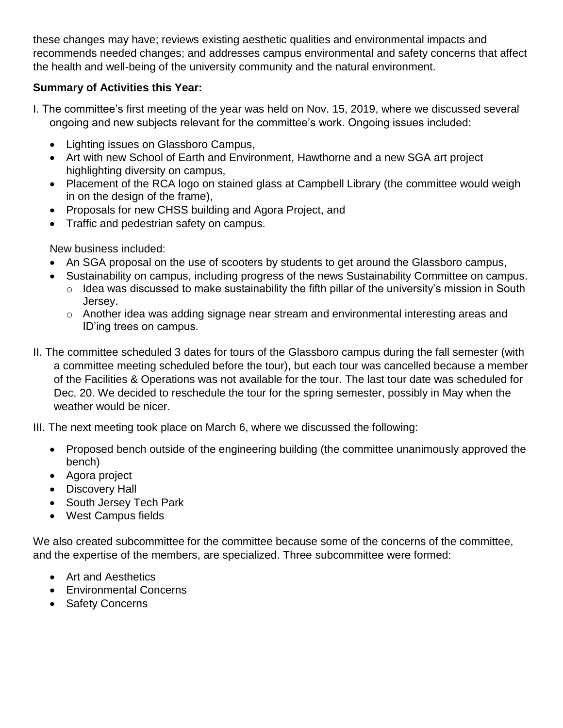these changes may have; reviews existing aesthetic qualities and environmental impacts and recommends needed changes; and addresses campus environmental and safety concerns that affect the health and well-being of the university community and the natural environment.

# **Summary of Activities this Year:**

- I. The committee's first meeting of the year was held on Nov. 15, 2019, where we discussed several ongoing and new subjects relevant for the committee's work. Ongoing issues included:
	- Lighting issues on Glassboro Campus,
	- Art with new School of Earth and Environment, Hawthorne and a new SGA art project highlighting diversity on campus,
	- Placement of the RCA logo on stained glass at Campbell Library (the committee would weigh in on the design of the frame),
	- Proposals for new CHSS building and Agora Project, and
	- Traffic and pedestrian safety on campus.

New business included:

- An SGA proposal on the use of scooters by students to get around the Glassboro campus,
- Sustainability on campus, including progress of the news Sustainability Committee on campus.
	- $\circ$  Idea was discussed to make sustainability the fifth pillar of the university's mission in South Jersey.
	- o Another idea was adding signage near stream and environmental interesting areas and ID'ing trees on campus.
- II. The committee scheduled 3 dates for tours of the Glassboro campus during the fall semester (with a committee meeting scheduled before the tour), but each tour was cancelled because a member of the Facilities & Operations was not available for the tour. The last tour date was scheduled for Dec. 20. We decided to reschedule the tour for the spring semester, possibly in May when the weather would be nicer.

III. The next meeting took place on March 6, where we discussed the following:

- Proposed bench outside of the engineering building (the committee unanimously approved the bench)
- Agora project
- Discovery Hall
- South Jersey Tech Park
- West Campus fields

We also created subcommittee for the committee because some of the concerns of the committee, and the expertise of the members, are specialized. Three subcommittee were formed:

- Art and Aesthetics
- Environmental Concerns
- Safety Concerns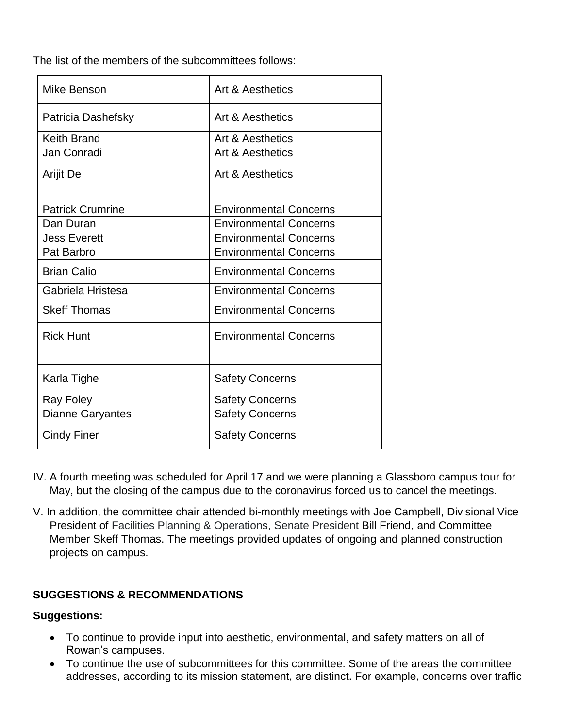The list of the members of the subcommittees follows:

| <b>Mike Benson</b>      | Art & Aesthetics              |
|-------------------------|-------------------------------|
| Patricia Dashefsky      | Art & Aesthetics              |
| <b>Keith Brand</b>      | <b>Art &amp; Aesthetics</b>   |
| Jan Conradi             | Art & Aesthetics              |
| Arijit De               | Art & Aesthetics              |
|                         |                               |
| <b>Patrick Crumrine</b> | <b>Environmental Concerns</b> |
| Dan Duran               | <b>Environmental Concerns</b> |
| <b>Jess Everett</b>     | <b>Environmental Concerns</b> |
| Pat Barbro              | <b>Environmental Concerns</b> |
| <b>Brian Calio</b>      | <b>Environmental Concerns</b> |
| Gabriela Hristesa       | <b>Environmental Concerns</b> |
| <b>Skeff Thomas</b>     | <b>Environmental Concerns</b> |
| <b>Rick Hunt</b>        | <b>Environmental Concerns</b> |
|                         |                               |
| Karla Tighe             | <b>Safety Concerns</b>        |
| Ray Foley               | <b>Safety Concerns</b>        |
| <b>Dianne Garyantes</b> | <b>Safety Concerns</b>        |
| <b>Cindy Finer</b>      | <b>Safety Concerns</b>        |

- IV. A fourth meeting was scheduled for April 17 and we were planning a Glassboro campus tour for May, but the closing of the campus due to the coronavirus forced us to cancel the meetings.
- V. In addition, the committee chair attended bi-monthly meetings with Joe Campbell, Divisional Vice President of Facilities Planning & Operations, Senate President Bill Friend, and Committee Member Skeff Thomas. The meetings provided updates of ongoing and planned construction projects on campus.

# **SUGGESTIONS & RECOMMENDATIONS**

# **Suggestions:**

- To continue to provide input into aesthetic, environmental, and safety matters on all of Rowan's campuses.
- To continue the use of subcommittees for this committee. Some of the areas the committee addresses, according to its mission statement, are distinct. For example, concerns over traffic